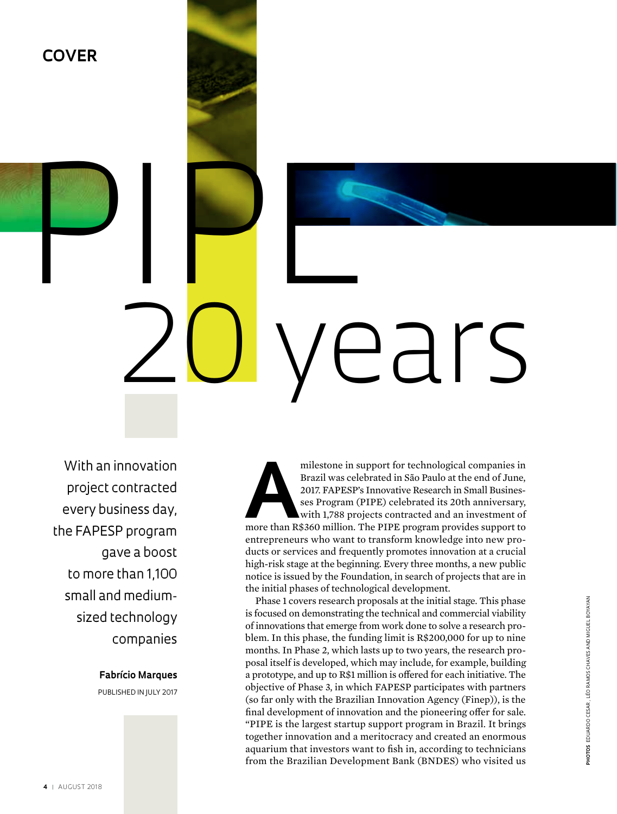# PIPE R 20 years

With an innovation project contracted every business day, the FAPESP program gave a boost to more than 1,100 small and mediumsized technology companies

**COVER**

## **Fabrício Marques**

Published in july 2017

milestone in support for technological companies in<br>Brazil was celebrated in São Paulo at the end of June,<br>2017. FAPESP's Innovative Research in Small Busines-<br>ses Program (PIPE) celebrated its 20th anniversary,<br>with 1,788 Brazil was celebrated in São Paulo at the end of June, 2017. FAPESP's Innovative Research in Small Businesses Program (PIPE) celebrated its 20th anniversary, with 1,788 projects contracted and an investment of entrepreneurs who want to transform knowledge into new products or services and frequently promotes innovation at a crucial high-risk stage at the beginning. Every three months, a new public notice is issued by the Foundation, in search of projects that are in the initial phases of technological development.

Phase 1 covers research proposals at the initial stage. This phase is focused on demonstrating the technical and commercial viability of innovations that emerge from work done to solve a research problem. In this phase, the funding limit is R\$200,000 for up to nine months. In Phase 2, which lasts up to two years, the research proposal itself is developed, which may include, for example, building a prototype, and up to R\$1 million is offered for each initiative. The objective of Phase 3, in which FAPESP participates with partners (so far only with the Brazilian Innovation Agency (Finep)), is the final development of innovation and the pioneering offer for sale. "PIPE is the largest startup support program in Brazil. It brings together innovation and a meritocracy and created an enormous aquarium that investors want to fish in, according to technicians from the Brazilian Development Bank (BNDES) who visited us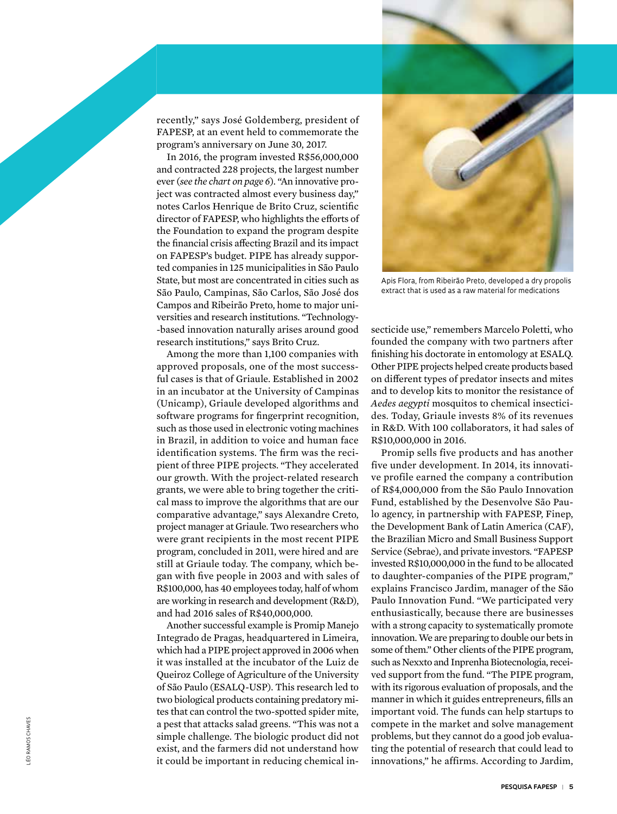recently," says José Goldemberg, president of FAPESP, at an event held to commemorate the program's anniversary on June 30, 2017.

In 2016, the program invested R\$56,000,000 and contracted 228 projects, the largest number ever (*see the chart on page 6*). "An innovative pro ject was contracted almost every business day," notes Carlos Henrique de Brito Cruz, scientific director of FAPESP, who highlights the efforts of the Foundation to expand the program despite the financial crisis affecting Brazil and its impact on FAPESP's budget. PIPE has already suppor ted companies in 125 municipalities in São Paulo State, but most are concentrated in cities such as São Paulo, Campinas, São Carlos, São José dos Campos and Ribeirão Preto, home to major uni versities and research institutions. "Technology - -based innovation naturally arises around good research institutions," says Brito Cruz.

Among the more than 1,100 companies with approved proposals, one of the most success ful cases is that of Griaule. Established in 2002 in an incubator at the University of Campinas (Unicamp), Griaule developed algorithms and software programs for fingerprint recognition, such as those used in electronic voting machines in Brazil, in addition to voice and human face identification systems. The firm was the reci pient of three PIPE projects. "They accelerated our growth. With the project-related research grants, we were able to bring together the criti cal mass to improve the algorithms that are our comparative advantage," says Alexandre Creto, project manager at Griaule. Two researchers who were grant recipients in the most recent PIPE program, concluded in 2011, were hired and are still at Griaule today. The company, which be gan with five people in 2003 and with sales of R\$100,000, has 40 employees today, half of whom are working in research and development (R&D), and had 2016 sales of R\$40,000,000.

Another successful example is Promip Manejo Integrado de Pragas, headquartered in Limeira, which had a PIPE project approved in 2006 when it was installed at the incubator of the Luiz de Queiroz College of Agriculture of the University of São Paulo (ESALQ-USP). This research led to two biological products containing predatory mi tes that can control the two-spotted spider mite, a pest that attacks salad greens. "This was not a simple challenge. The biologic product did not exist, and the farmers did not understand how it could be important in reducing chemical in -



extract that is used as a raw material for medications

secticide use," remembers Marcelo Poletti, who founded the company with two partners after finishing his doctorate in entomology at ESALQ. Other PIPE projects helped create products based on different types of predator insects and mites and to develop kits to monitor the resistance of *Aedes aegypti* mosquitos to chemical insectici des. Today, Griaule invests 8% of its revenues in R&D. With 100 collaborators, it had sales of R\$10,000,000 in 2016.

Promip sells five products and has another five under development. In 2014, its innovati ve profile earned the company a contribution of R\$4,000,000 from the São Paulo Innovation Fund, established by the Desenvolve São Pau lo agency, in partnership with FAPESP, Finep, the Development Bank of Latin America (CAF), the Brazilian Micro and Small Business Support Service (Sebrae), and private investors. "FAPESP invested R\$10,000,000 in the fund to be allocated to daughter-companies of the PIPE program," explains Francisco Jardim, manager of the São Paulo Innovation Fund. "We participated very enthusiastically, because there are businesses with a strong capacity to systematically promote innovation. We are preparing to double our bets in some of them." Other clients of the PIPE program, such as Nexxto and Inprenha Biotecnologia, recei ved support from the fund. "The PIPE program, with its rigorous evaluation of proposals, and the manner in which it guides entrepreneurs, fills an important void. The funds can help startups to compete in the market and solve management problems, but they cannot do a good job evalua ting the potential of research that could lead to Apis Flora, from Ribeirão Preto, developed a dry propolis<br>extract that is used as a raw material for medications<br>secticide use," remembers Marcelo Poletti, who<br>founded the company with two partners after<br>finishing his doct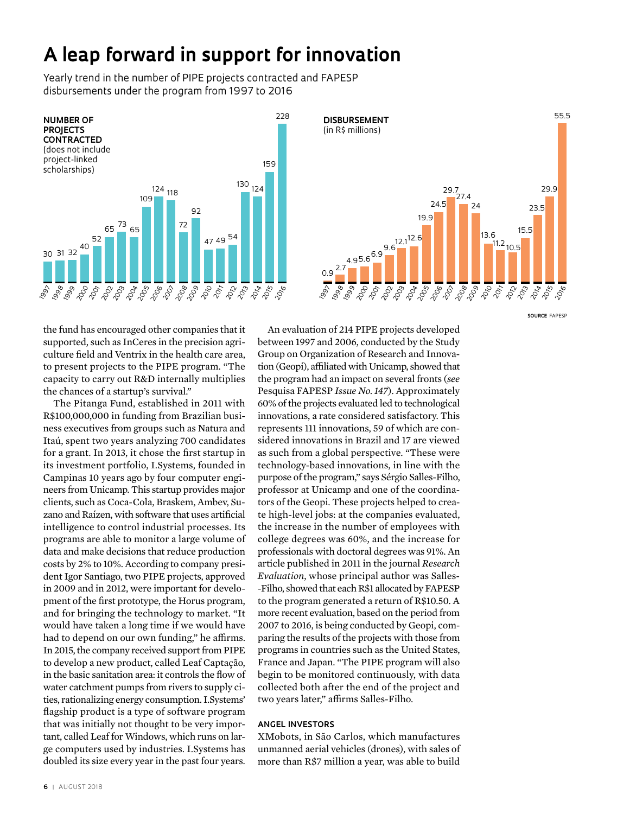# **A leap forward in support for innovation**

Yearly trend in the number of PIPE projects contracted and FAPESP disbursements under the program from 1997 to 2016





**SOURCE** fapesp

the fund has encouraged other companies that it supported, such as InCeres in the precision agriculture field and Ventrix in the health care area, to present projects to the PIPE program. "The capacity to carry out R&D internally multiplies the chances of a startup's survival."

The Pitanga Fund, established in 2011 with R\$100,000,000 in funding from Brazilian business executives from groups such as Natura and Itaú, spent two years analyzing 700 candidates for a grant. In 2013, it chose the first startup in its investment portfolio, I.Systems, founded in Campinas 10 years ago by four computer engineers from Unicamp. This startup provides major clients, such as Coca-Cola, Braskem, Ambev, Suzano and Raízen, with software that uses artificial intelligence to control industrial processes. Its programs are able to monitor a large volume of data and make decisions that reduce production costs by 2% to 10%. According to company president Igor Santiago, two PIPE projects, approved in 2009 and in 2012, were important for development of the first prototype, the Horus program, and for bringing the technology to market. "It would have taken a long time if we would have had to depend on our own funding," he affirms. In 2015, the company received support from PIPE to develop a new product, called Leaf Captação, in the basic sanitation area: it controls the flow of water catchment pumps from rivers to supply cities, rationalizing energy consumption. I.Systems' flagship product is a type of software program that was initially not thought to be very important, called Leaf for Windows, which runs on large computers used by industries. I.Systems has doubled its size every year in the past four years.

An evaluation of 214 PIPE projects developed between 1997 and 2006, conducted by the Study Group on Organization of Research and Innovation (Geopi), affiliated with Unicamp, showed that the program had an impact on several fronts (*see* Pesquisa FAPESP *Issue No. 147*). Approximately 60% of the projects evaluated led to technological innovations, a rate considered satisfactory. This represents 111 innovations, 59 of which are considered innovations in Brazil and 17 are viewed as such from a global perspective. "These were technology-based innovations, in line with the purpose of the program," says Sérgio Salles-Filho, professor at Unicamp and one of the coordinators of the Geopi. These projects helped to create high-level jobs: at the companies evaluated, the increase in the number of employees with college degrees was 60%, and the increase for professionals with doctoral degrees was 91%. An article published in 2011 in the journal *Research Evaluation*, whose principal author was Salles- -Filho, showed that each R\$1 allocated by FAPESP to the program generated a return of R\$10.50. A more recent evaluation, based on the period from 2007 to 2016, is being conducted by Geopi, comparing the results of the projects with those from programs in countries such as the United States, France and Japan. "The PIPE program will also begin to be monitored continuously, with data collected both after the end of the project and two years later," affirms Salles-Filho.

### **ANGEL INVESTORS**

XMobots, in São Carlos, which manufactures unmanned aerial vehicles (drones), with sales of more than R\$7 million a year, was able to build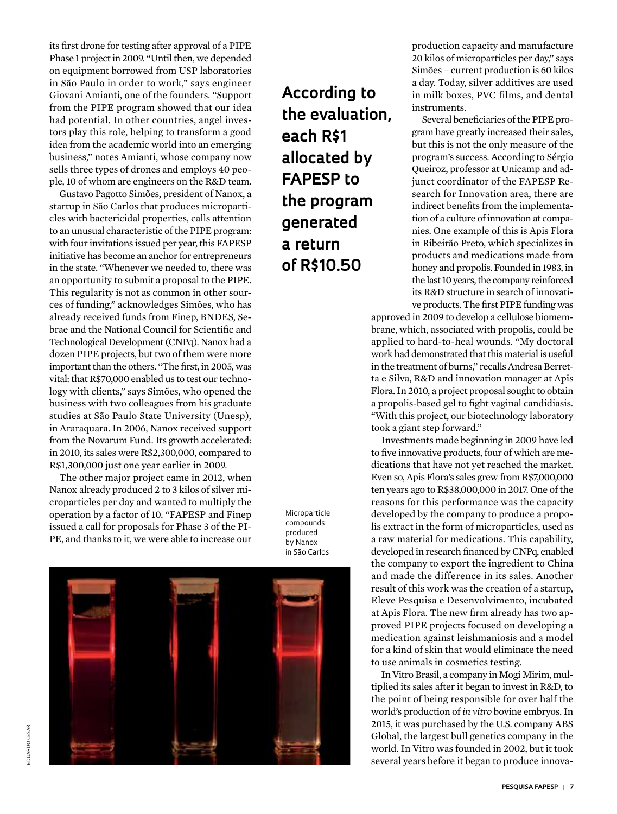its first drone for testing after approval of a PIPE Phase 1 project in 2009. "Until then, we depended on equipment borrowed from USP laboratories in São Paulo in order to work," says engineer Giovani Amianti, one of the founders. "Support from the PIPE program showed that our idea had potential. In other countries, angel investors play this role, helping to transform a good idea from the academic world into an emerging business," notes Amianti, whose company now sells three types of drones and employs 40 people, 10 of whom are engineers on the R&D team.

Gustavo Pagotto Simões, president of Nanox, a startup in São Carlos that produces microparticles with bactericidal properties, calls attention to an unusual characteristic of the PIPE program: with four invitations issued per year, this FAPESP initiative has become an anchor for entrepreneurs in the state. "Whenever we needed to, there was an opportunity to submit a proposal to the PIPE. This regularity is not as common in other sources of funding," acknowledges Simões, who has already received funds from Finep, BNDES, Sebrae and the National Council for Scientific and Technological Development (CNPq). Nanox had a dozen PIPE projects, but two of them were more important than the others. "The first, in 2005, was vital: that R\$70,000 enabled us to test our technology with clients," says Simões, who opened the business with two colleagues from his graduate studies at São Paulo State University (Unesp), in Araraquara. In 2006, Nanox received support from the Novarum Fund. Its growth accelerated: in 2010, its sales were R\$2,300,000, compared to R\$1,300,000 just one year earlier in 2009.

The other major project came in 2012, when Nanox already produced 2 to 3 kilos of silver microparticles per day and wanted to multiply the operation by a factor of 10. "FAPESP and Finep issued a call for proposals for Phase 3 of the PI-PE, and thanks to it, we were able to increase our **According to the evaluation, each R\$1 allocated by FAPESP to the program generated a return of R\$10.50**

Microparticle compounds produced by Nanox in São Carlos



production capacity and manufacture 20 kilos of microparticles per day," says Simões – current production is 60 kilos a day. Today, silver additives are used in milk boxes, PVC films, and dental instruments.

Several beneficiaries of the PIPE program have greatly increased their sales, but this is not the only measure of the program's success. According to Sérgio Queiroz, professor at Unicamp and adjunct coordinator of the FAPESP Research for Innovation area, there are indirect benefits from the implementation of a culture of innovation at companies. One example of this is Apis Flora in Ribeirão Preto, which specializes in products and medications made from honey and propolis. Founded in 1983, in the last 10 years, the company reinforced its R&D structure in search of innovative products. The first PIPE funding was

approved in 2009 to develop a cellulose biomembrane, which, associated with propolis, could be applied to hard-to-heal wounds. "My doctoral work had demonstrated that this material is useful in the treatment of burns," recalls Andresa Berretta e Silva, R&D and innovation manager at Apis Flora. In 2010, a project proposal sought to obtain a propolis-based gel to fight vaginal candidiasis. "With this project, our biotechnology laboratory took a giant step forward."

Investments made beginning in 2009 have led to five innovative products, four of which are medications that have not yet reached the market. Even so, Apis Flora's sales grew from R\$7,000,000 ten years ago to R\$38,000,000 in 2017. One of the reasons for this performance was the capacity developed by the company to produce a propolis extract in the form of microparticles, used as a raw material for medications. This capability, developed in research financed by CNPq, enabled the company to export the ingredient to China and made the difference in its sales. Another result of this work was the creation of a startup, Eleve Pesquisa e Desenvolvimento, incubated at Apis Flora. The new firm already has two approved PIPE projects focused on developing a medication against leishmaniosis and a model for a kind of skin that would eliminate the need to use animals in cosmetics testing.

In Vitro Brasil, a company in Mogi Mirim, multiplied its sales after it began to invest in R&D, to the point of being responsible for over half the world's production of *in vitro* bovine embryos. In 2015, it was purchased by the U.S. company ABS Global, the largest bull genetics company in the world. In Vitro was founded in 2002, but it took several years before it began to produce innova-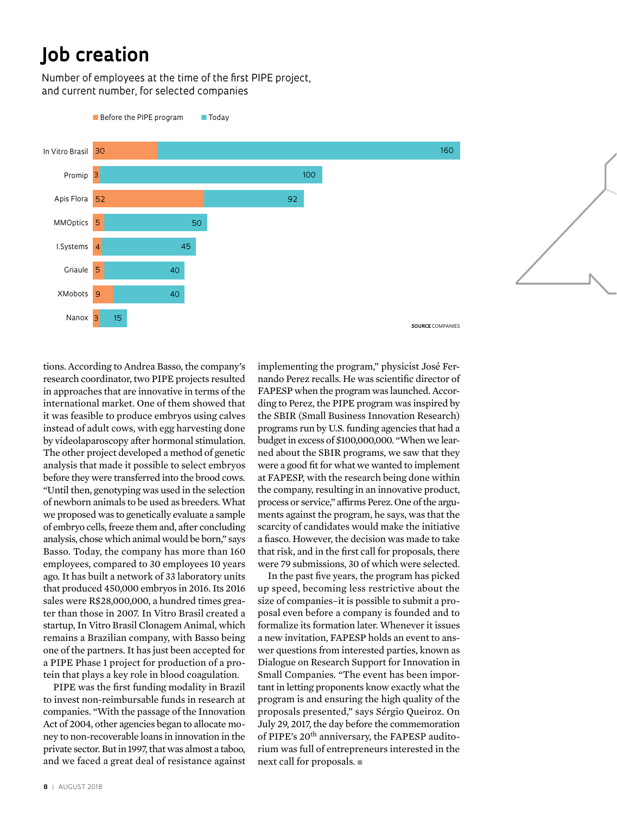# **Job creation**

Number of employees at the time of the first PIPE project, and current number, for selected companies



tions. According to Andrea Basso, the company's research coordinator, two PIPE projects resulted in approaches that are innovative in terms of the international market. One of them showed that it was feasible to produce embryos using calves instead of adult cows, with egg harvesting done by videolaparoscopy after hormonal stimulation. The other project developed a method of genetic analysis that made it possible to select embryos before they were transferred into the brood cows. "Until then, genotyping was used in the selection of newborn animals to be used as breeders. What we proposed was to genetically evaluate a sample of embryo cells, freeze them and, after concluding analysis, chose which animal would be born," says Basso. Today, the company has more than 160 employees, compared to 30 employees 10 years ago. It has built a network of 33 laboratory units that produced 450,000 embryos in 2016. Its 2016 sales were R\$28,000,000, a hundred times greater than those in 2007. In Vitro Brasil created a startup, In Vitro Brasil Clonagem Animal, which remains a Brazilian company, with Basso being one of the partners. It has just been accepted for a PIPE Phase 1 project for production of a protein that plays a key role in blood coagulation.

PIPE was the first funding modality in Brazil to invest non-reimbursable funds in research at companies. "With the passage of the Innovation Act of 2004, other agencies began to allocate money to non-recoverable loans in innovation in the private sector. But in 1997, that was almost a taboo, and we faced a great deal of resistance against

implementing the program," physicist José Fernando Perez recalls. He was scientific director of FAPESP when the program was launched. According to Perez, the PIPE program was inspired by the SBIR (Small Business Innovation Research) programs run by U.S. funding agencies that had a budget in excess of \$100,000,000. "When we learned about the SBIR programs, we saw that they were a good fit for what we wanted to implement at FAPESP, with the research being done within the company, resulting in an innovative product, process or service," affirms Perez. One of the arguments against the program, he says, was that the scarcity of candidates would make the initiative a fiasco. However, the decision was made to take that risk, and in the first call for proposals, there were 79 submissions, 30 of which were selected.

In the past five years, the program has picked up speed, becoming less restrictive about the size of companies–it is possible to submit a proposal even before a company is founded and to formalize its formation later. Whenever it issues a new invitation, FAPESP holds an event to answer questions from interested parties, known as Dialogue on Research Support for Innovation in Small Companies. "The event has been important in letting proponents know exactly what the program is and ensuring the high quality of the proposals presented," says Sérgio Queiroz. On July 29, 2017, the day before the commemoration of PIPE's 20th anniversary, the FAPESP auditorium was full of entrepreneurs interested in the next call for proposals.  $\blacksquare$